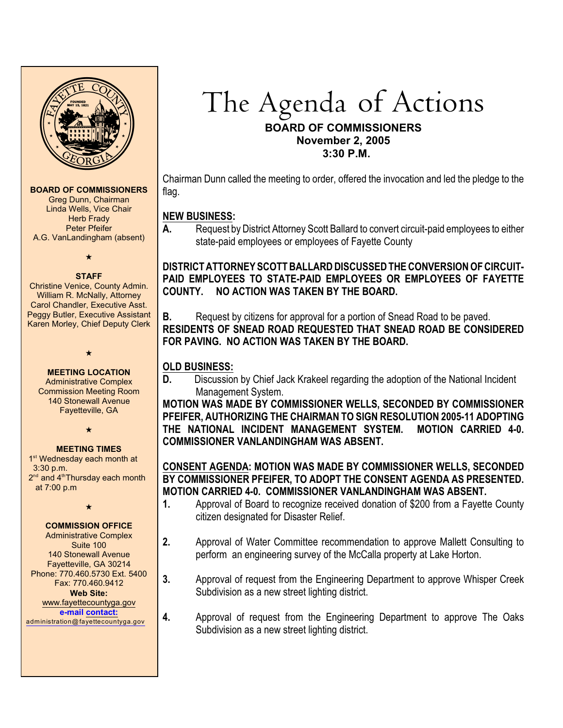

#### **BOARD OF COMMISSIONERS**

Greg Dunn, Chairman Linda Wells, Vice Chair **Herb Frady** Peter Pfeifer A.G. VanLandingham (absent)

 $\star$ 

#### **STAFF**

Christine Venice, County Admin. William R. McNally, Attorney Carol Chandler, Executive Asst. Peggy Butler, Executive Assistant Karen Morley, Chief Deputy Clerk

> $\star$ **MEETING LOCATION**

Administrative Complex Commission Meeting Room 140 Stonewall Avenue Fayetteville, GA

 $\bigstar$ 

#### **MEETING TIMES**

1<sup>st</sup> Wednesday each month at 3:30 p.m.  $2<sup>nd</sup>$  and  $4<sup>th</sup>$ Thursday each month at 7:00 p.m

 $\star$ 

### **COMMISSION OFFICE**

Administrative Complex Suite 100 140 Stonewall Avenue Fayetteville, GA 30214 Phone: 770.460.5730 Ext. 5400 Fax: 770.460.9412 **Web Site:** [www.fayettecountyga.gov](http://www.admin.co.fayette.ga.us) **e-mail [contact:](mailto:administration@fayettecountyga.gov)** [administration@fayettecountyga.gov](mailto:administration@fayettecountyga.gov)

The Agenda of Actions **BOARD OF COMMISSIONERS November 2, 2005 3:30 P.M.**

Chairman Dunn called the meeting to order, offered the invocation and led the pledge to the flag.

### **NEW BUSINESS:**

**A.** Request by District Attorney Scott Ballard to convert circuit-paid employees to either state-paid employees or employees of Fayette County

**DISTRICT ATTORNEY SCOTT BALLARD DISCUSSED THE CONVERSION OF CIRCUIT-PAID EMPLOYEES TO STATE-PAID EMPLOYEES OR EMPLOYEES OF FAYETTE COUNTY. NO ACTION WAS TAKEN BY THE BOARD.**

**B.** Request by citizens for approval for a portion of Snead Road to be paved. **RESIDENTS OF SNEAD ROAD REQUESTED THAT SNEAD ROAD BE CONSIDERED FOR PAVING. NO ACTION WAS TAKEN BY THE BOARD.**

## **OLD BUSINESS:**

**D.** Discussion by Chief Jack Krakeel regarding the adoption of the National Incident Management System.

**MOTION WAS MADE BY COMMISSIONER WELLS, SECONDED BY COMMISSIONER PFEIFER, AUTHORIZING THE CHAIRMAN TO SIGN RESOLUTION 2005-11 ADOPTING THE NATIONAL INCIDENT MANAGEMENT SYSTEM. MOTION CARRIED 4-0. COMMISSIONER VANLANDINGHAM WAS ABSENT.**

# **CONSENT AGENDA: MOTION WAS MADE BY COMMISSIONER WELLS, SECONDED BY COMMISSIONER PFEIFER, TO ADOPT THE CONSENT AGENDA AS PRESENTED. MOTION CARRIED 4-0. COMMISSIONER VANLANDINGHAM WAS ABSENT.**

- **1.** Approval of Board to recognize received donation of \$200 from a Fayette County citizen designated for Disaster Relief.
- **2.** Approval of Water Committee recommendation to approve Mallett Consulting to perform an engineering survey of the McCalla property at Lake Horton.
- **3.** Approval of request from the Engineering Department to approve Whisper Creek Subdivision as a new street lighting district.
- **4.** Approval of request from the Engineering Department to approve The Oaks Subdivision as a new street lighting district.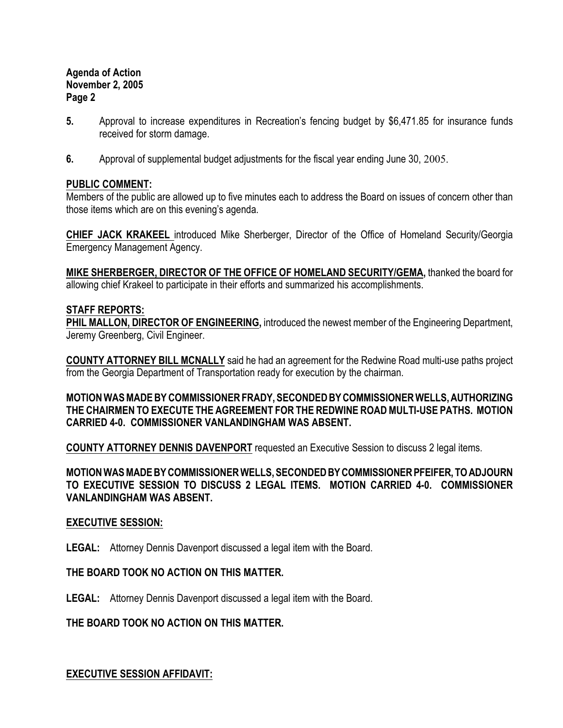# **Agenda of Action November 2, 2005 Page 2**

- **5.** Approval to increase expenditures in Recreation's fencing budget by \$6,471.85 for insurance funds received for storm damage.
- **6.** Approval of supplemental budget adjustments for the fiscal year ending June 30, 2005.

# **PUBLIC COMMENT:**

Members of the public are allowed up to five minutes each to address the Board on issues of concern other than those items which are on this evening's agenda.

**CHIEF JACK KRAKEEL** introduced Mike Sherberger, Director of the Office of Homeland Security/Georgia Emergency Management Agency.

**MIKE SHERBERGER, DIRECTOR OF THE OFFICE OF HOMELAND SECURITY/GEMA,** thanked the board for allowing chief Krakeel to participate in their efforts and summarized his accomplishments.

# **STAFF REPORTS:**

**PHIL MALLON, DIRECTOR OF ENGINEERING, introduced the newest member of the Engineering Department,** Jeremy Greenberg, Civil Engineer.

**COUNTY ATTORNEY BILL MCNALLY** said he had an agreement for the Redwine Road multi-use paths project from the Georgia Department of Transportation ready for execution by the chairman.

**MOTION WAS MADE BY COMMISSIONER FRADY, SECONDED BY COMMISSIONER WELLS, AUTHORIZING THE CHAIRMEN TO EXECUTE THE AGREEMENT FOR THE REDWINE ROAD MULTI-USE PATHS. MOTION CARRIED 4-0. COMMISSIONER VANLANDINGHAM WAS ABSENT.**

**COUNTY ATTORNEY DENNIS DAVENPORT** requested an Executive Session to discuss 2 legal items.

**MOTION WAS MADE BY COMMISSIONER WELLS, SECONDED BY COMMISSIONER PFEIFER, TO ADJOURN TO EXECUTIVE SESSION TO DISCUSS 2 LEGAL ITEMS. MOTION CARRIED 4-0. COMMISSIONER VANLANDINGHAM WAS ABSENT.**

### **EXECUTIVE SESSION:**

**LEGAL:** Attorney Dennis Davenport discussed a legal item with the Board.

# **THE BOARD TOOK NO ACTION ON THIS MATTER.**

**LEGAL:** Attorney Dennis Davenport discussed a legal item with the Board.

### **THE BOARD TOOK NO ACTION ON THIS MATTER.**

**EXECUTIVE SESSION AFFIDAVIT:**